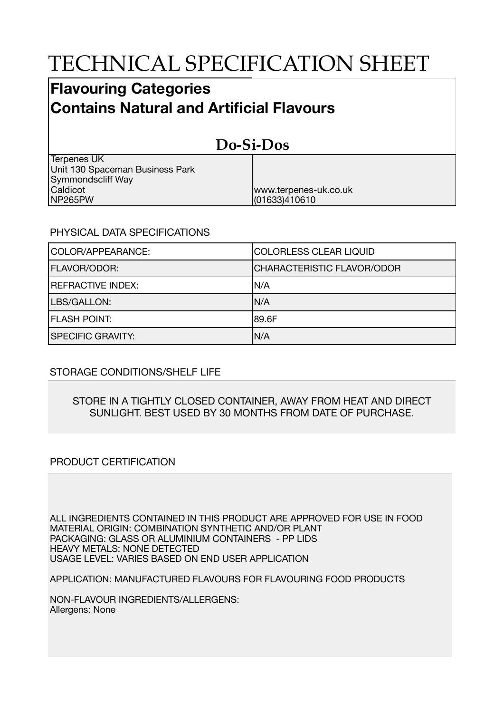# TECHNICAL SPECIFICATION SHEET

## **Flavouring Categories Contains Natural and Artificial Flavours**

#### **Do-Si-Dos** Terpenes UK Unit 130 Spaceman Business Park Symmondscliff Way Caldicot NP265PW www.terpenes-uk.co.uk (01633)410610

### PHYSICAL DATA SPECIFICATIONS

| COLOR/APPEARANCE:        | COLORLESS CLEAR LIQUID            |
|--------------------------|-----------------------------------|
| <b>FLAVOR/ODOR:</b>      | <b>CHARACTERISTIC FLAVOR/ODOR</b> |
| <b>REFRACTIVE INDEX:</b> | IN/A                              |
| LBS/GALLON:              | N/A                               |
| <b>FLASH POINT:</b>      | 189.6F                            |
| <b>SPECIFIC GRAVITY:</b> | N/A                               |

### STORAGE CONDITIONS/SHELF LIFE

#### STORE IN A TIGHTLY CLOSED CONTAINER, AWAY FROM HEAT AND DIRECT SUNLIGHT. BEST USED BY 30 MONTHS FROM DATE OF PURCHASE.

### PRODUCT CERTIFICATION

ALL INGREDIENTS CONTAINED IN THIS PRODUCT ARE APPROVED FOR USE IN FOOD MATERIAL ORIGIN: COMBINATION SYNTHETIC AND/OR PLANT PACKAGING: GLASS OR ALUMINIUM CONTAINERS - PP LIDS HEAVY METALS: NONE DETECTED USAGE LEVEL: VARIES BASED ON END USER APPLICATION

APPLICATION: MANUFACTURED FLAVOURS FOR FLAVOURING FOOD PRODUCTS

NON-FLAVOUR INGREDIENTS/ALLERGENS: Allergens: None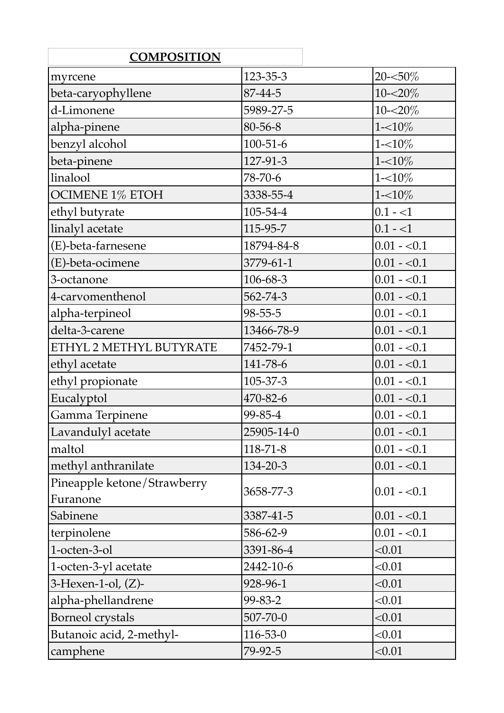| <b>COMPOSITION</b>                      |                |              |
|-----------------------------------------|----------------|--------------|
| myrcene                                 | 123-35-3       | $20 - 50\%$  |
| beta-caryophyllene                      | 87-44-5        | $10 - 20\%$  |
| d-Limonene                              | 5989-27-5      | $10 - 20\%$  |
| alpha-pinene                            | 80-56-8        | $1 - 10\%$   |
| benzyl alcohol                          | $100 - 51 - 6$ | $1 - 10\%$   |
| beta-pinene                             | 127-91-3       | $1 - 10\%$   |
| linalool                                | 78-70-6        | $1 - 10\%$   |
| <b>OCIMENE 1% ETOH</b>                  | 3338-55-4      | $1 - 10\%$   |
| ethyl butyrate                          | 105-54-4       | $0.1 - 1$    |
| linalyl acetate                         | 115-95-7       | $0.1 - 1$    |
| (E)-beta-farnesene                      | 18794-84-8     | $0.01 - 0.1$ |
| (E)-beta-ocimene                        | 3779-61-1      | $0.01 - 0.1$ |
| 3-octanone                              | 106-68-3       | $0.01 - 0.1$ |
| 4-carvomenthenol                        | 562-74-3       | $0.01 - 0.1$ |
| alpha-terpineol                         | $98 - 55 - 5$  | $0.01 - 0.1$ |
| delta-3-carene                          | 13466-78-9     | $0.01 - 0.1$ |
| ETHYL 2 METHYL BUTYRATE                 | 7452-79-1      | $0.01 - 0.1$ |
| ethyl acetate                           | 141-78-6       | $0.01 - 0.1$ |
| ethyl propionate                        | 105-37-3       | $0.01 - 0.1$ |
| Eucalyptol                              | 470-82-6       | $0.01 - 0.1$ |
| Gamma Terpinene                         | 99-85-4        | $0.01 - 0.1$ |
| Lavandulyl acetate                      | 25905-14-0     | $0.01 - 0.1$ |
| maltol                                  | $118 - 71 - 8$ | $0.01 - 0.1$ |
| methyl anthranilate                     | 134-20-3       | $0.01 - 0.1$ |
| Pineapple ketone/Strawberry<br>Furanone | 3658-77-3      | $0.01 - 0.1$ |
| Sabinene                                | 3387-41-5      | $0.01 - 0.1$ |
| terpinolene                             | 586-62-9       | $0.01 - 0.1$ |
| 1-octen-3-ol                            | 3391-86-4      | < 0.01       |
| 1-octen-3-yl acetate                    | 2442-10-6      | < 0.01       |
| $3$ -Hexen-1-ol, $(Z)$ -                | 928-96-1       | < 0.01       |
| alpha-phellandrene                      | 99-83-2        | < 0.01       |
| <b>Borneol</b> crystals                 | 507-70-0       | < 0.01       |
| Butanoic acid, 2-methyl-                | $116 - 53 - 0$ | < 0.01       |
| camphene                                | 79-92-5        | < 0.01       |